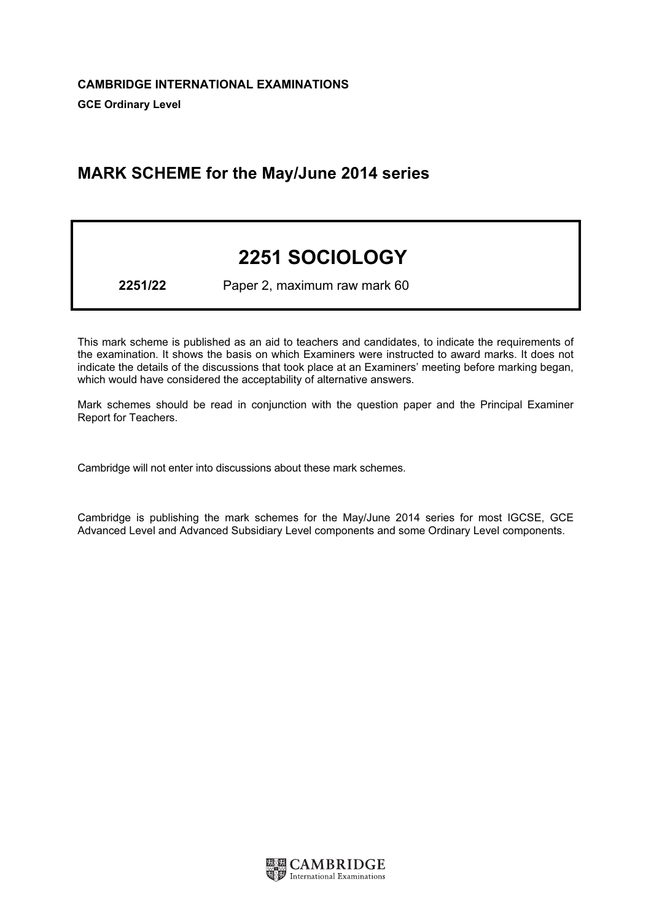# MARK SCHEME for the May/June 2014 series

# 2251 SOCIOLOGY

2251/22 Paper 2, maximum raw mark 60

This mark scheme is published as an aid to teachers and candidates, to indicate the requirements of the examination. It shows the basis on which Examiners were instructed to award marks. It does not indicate the details of the discussions that took place at an Examiners' meeting before marking began, which would have considered the acceptability of alternative answers.

Mark schemes should be read in conjunction with the question paper and the Principal Examiner Report for Teachers.

Cambridge will not enter into discussions about these mark schemes.

Cambridge is publishing the mark schemes for the May/June 2014 series for most IGCSE, GCE Advanced Level and Advanced Subsidiary Level components and some Ordinary Level components.

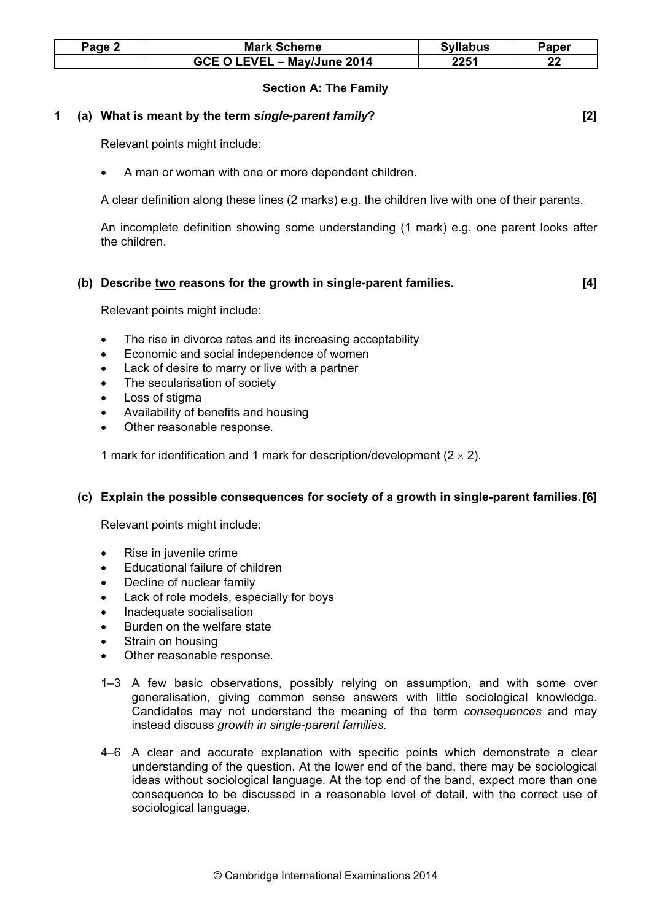| Page $\sim$ | <b>Mark Scheme</b>          | <b>Syllabus</b> | Paper |
|-------------|-----------------------------|-----------------|-------|
|             | GCE O LEVEL - May/June 2014 | 2251            | n.    |

#### Section A: The Family

#### 1 (a) What is meant by the term single-parent family? [2]

Relevant points might include:

• A man or woman with one or more dependent children.

A clear definition along these lines (2 marks) e.g. the children live with one of their parents.

An incomplete definition showing some understanding (1 mark) e.g. one parent looks after the children.

#### (b) Describe two reasons for the growth in single-parent families. [4]

Relevant points might include:

- The rise in divorce rates and its increasing acceptability
- Economic and social independence of women
- Lack of desire to marry or live with a partner
- The secularisation of society
- Loss of stigma
- Availability of benefits and housing
- Other reasonable response.

1 mark for identification and 1 mark for description/development  $(2 \times 2)$ .

#### (c) Explain the possible consequences for society of a growth in single-parent families. [6]

- Rise in juvenile crime
- Educational failure of children
- Decline of nuclear family
- Lack of role models, especially for boys
- Inadequate socialisation
- Burden on the welfare state
- Strain on housing
- Other reasonable response.
- 1–3 A few basic observations, possibly relying on assumption, and with some over generalisation, giving common sense answers with little sociological knowledge. Candidates may not understand the meaning of the term consequences and may instead discuss growth in single-parent families.
- 4–6 A clear and accurate explanation with specific points which demonstrate a clear understanding of the question. At the lower end of the band, there may be sociological ideas without sociological language. At the top end of the band, expect more than one consequence to be discussed in a reasonable level of detail, with the correct use of sociological language.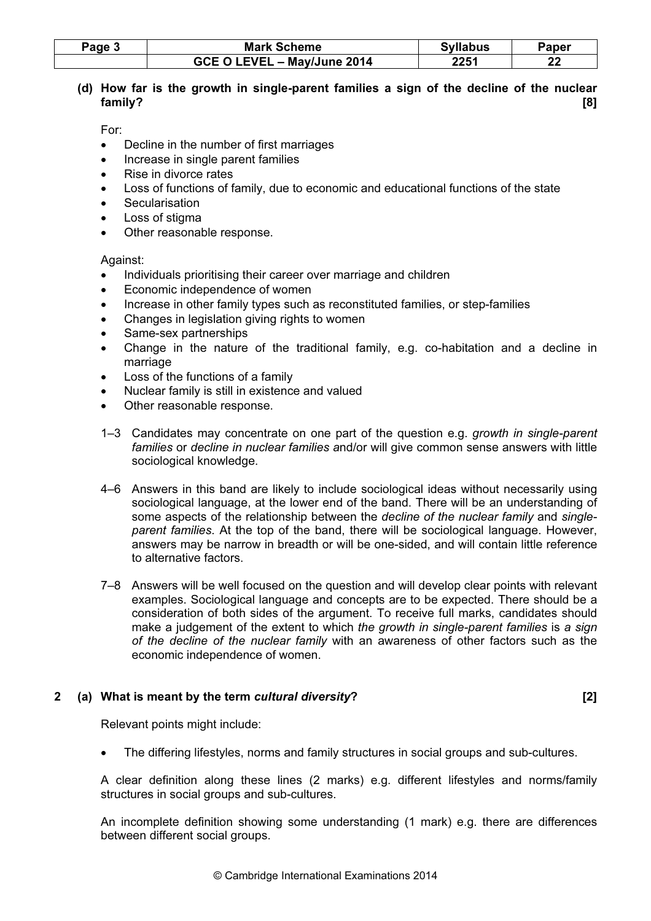| Page | <b>Mark Scheme</b>          | <b>Syllabus</b> | Paper     |
|------|-----------------------------|-----------------|-----------|
|      | GCE O LEVEL - May/June 2014 | 2251            | n n<br>LL |

# (d) How far is the growth in single-parent families a sign of the decline of the nuclear family? [8]

For:

- Decline in the number of first marriages
- Increase in single parent families
- Rise in divorce rates
- Loss of functions of family, due to economic and educational functions of the state
- **Secularisation**
- Loss of stigma
- Other reasonable response.

Against:

- Individuals prioritising their career over marriage and children
- Economic independence of women
- Increase in other family types such as reconstituted families, or step-families
- Changes in legislation giving rights to women
- Same-sex partnerships
- Change in the nature of the traditional family, e.g. co-habitation and a decline in marriage
- Loss of the functions of a family
- Nuclear family is still in existence and valued
- Other reasonable response.
- 1–3 Candidates may concentrate on one part of the question e.g. growth in single-parent families or decline in nuclear families and/or will give common sense answers with little sociological knowledge.
- 4–6 Answers in this band are likely to include sociological ideas without necessarily using sociological language, at the lower end of the band. There will be an understanding of some aspects of the relationship between the decline of the nuclear family and singleparent families. At the top of the band, there will be sociological language. However, answers may be narrow in breadth or will be one-sided, and will contain little reference to alternative factors.
- 7–8 Answers will be well focused on the question and will develop clear points with relevant examples. Sociological language and concepts are to be expected. There should be a consideration of both sides of the argument. To receive full marks, candidates should make a judgement of the extent to which the growth in single-parent families is a sign of the decline of the nuclear family with an awareness of other factors such as the economic independence of women.

# 2 (a) What is meant by the term cultural diversity? [2]

Relevant points might include:

• The differing lifestyles, norms and family structures in social groups and sub-cultures.

A clear definition along these lines (2 marks) e.g. different lifestyles and norms/family structures in social groups and sub-cultures.

An incomplete definition showing some understanding (1 mark) e.g. there are differences between different social groups.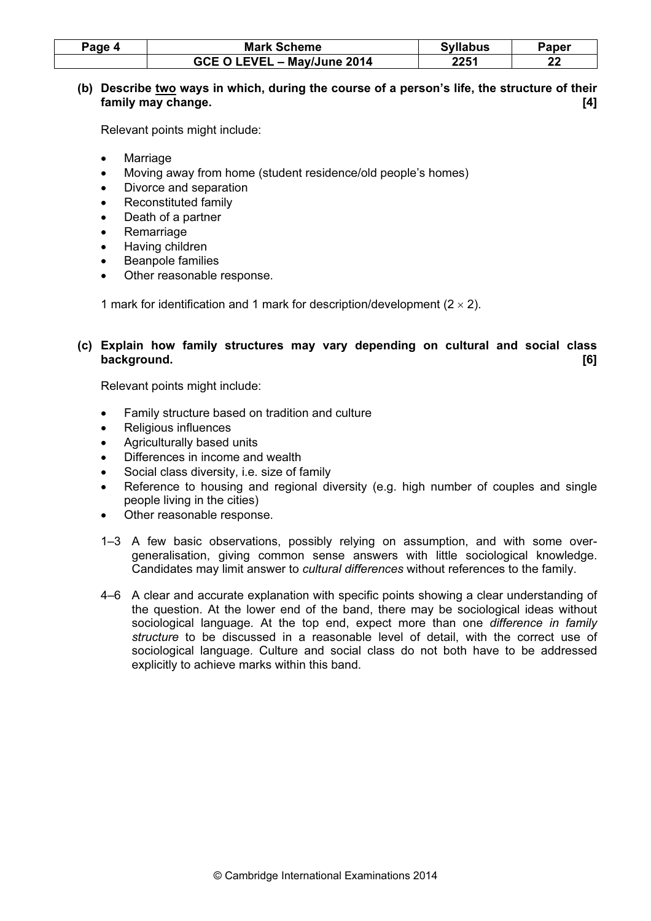| Page 4 | <b>Mark Scheme</b>          | <b>Syllabus</b> | Paper    |
|--------|-----------------------------|-----------------|----------|
|        | GCE O LEVEL - May/June 2014 | 2251            | n,<br>LL |

# (b) Describe two ways in which, during the course of a person's life, the structure of their family may change. [4]

Relevant points might include:

- **Marriage**
- Moving away from home (student residence/old people's homes)
- Divorce and separation
- Reconstituted family
- Death of a partner
- **Remarriage**
- Having children
- Beanpole families
- Other reasonable response.

1 mark for identification and 1 mark for description/development  $(2 \times 2)$ .

# (c) Explain how family structures may vary depending on cultural and social class background. [6]

- Family structure based on tradition and culture
- Religious influences
- Agriculturally based units
- Differences in income and wealth
- Social class diversity, i.e. size of family
- Reference to housing and regional diversity (e.g. high number of couples and single people living in the cities)
- Other reasonable response.
- 1–3 A few basic observations, possibly relying on assumption, and with some overgeneralisation, giving common sense answers with little sociological knowledge. Candidates may limit answer to cultural differences without references to the family.
- 4–6 A clear and accurate explanation with specific points showing a clear understanding of the question. At the lower end of the band, there may be sociological ideas without sociological language. At the top end, expect more than one *difference in family* structure to be discussed in a reasonable level of detail, with the correct use of sociological language. Culture and social class do not both have to be addressed explicitly to achieve marks within this band.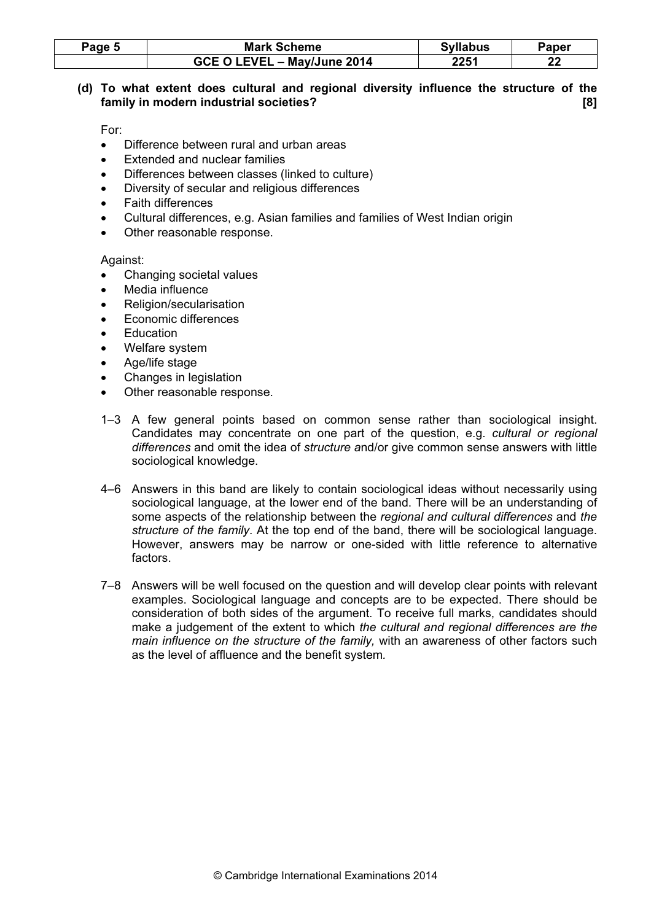| Page 5 | <b>Mark Scheme</b>          | <b>Syllabus</b> | Paper    |
|--------|-----------------------------|-----------------|----------|
|        | GCE O LEVEL - May/June 2014 | 2251            | n.<br>LL |

# (d) To what extent does cultural and regional diversity influence the structure of the family in modern industrial societies? **Example 2018** 181

For:

- Difference between rural and urban areas
- Extended and nuclear families
- Differences between classes (linked to culture)
- Diversity of secular and religious differences
- Faith differences
- Cultural differences, e.g. Asian families and families of West Indian origin
- Other reasonable response.

- Changing societal values
- Media influence
- Religion/secularisation
- Economic differences
- **Education**
- Welfare system
- Age/life stage
- Changes in legislation
- Other reasonable response.
- 1–3 A few general points based on common sense rather than sociological insight. Candidates may concentrate on one part of the question, e.g. cultural or regional differences and omit the idea of structure and/or give common sense answers with little sociological knowledge.
- 4–6 Answers in this band are likely to contain sociological ideas without necessarily using sociological language, at the lower end of the band. There will be an understanding of some aspects of the relationship between the regional and cultural differences and the structure of the family. At the top end of the band, there will be sociological language. However, answers may be narrow or one-sided with little reference to alternative factors.
- 7–8 Answers will be well focused on the question and will develop clear points with relevant examples. Sociological language and concepts are to be expected. There should be consideration of both sides of the argument. To receive full marks, candidates should make a judgement of the extent to which the cultural and regional differences are the main influence on the structure of the family, with an awareness of other factors such as the level of affluence and the benefit system.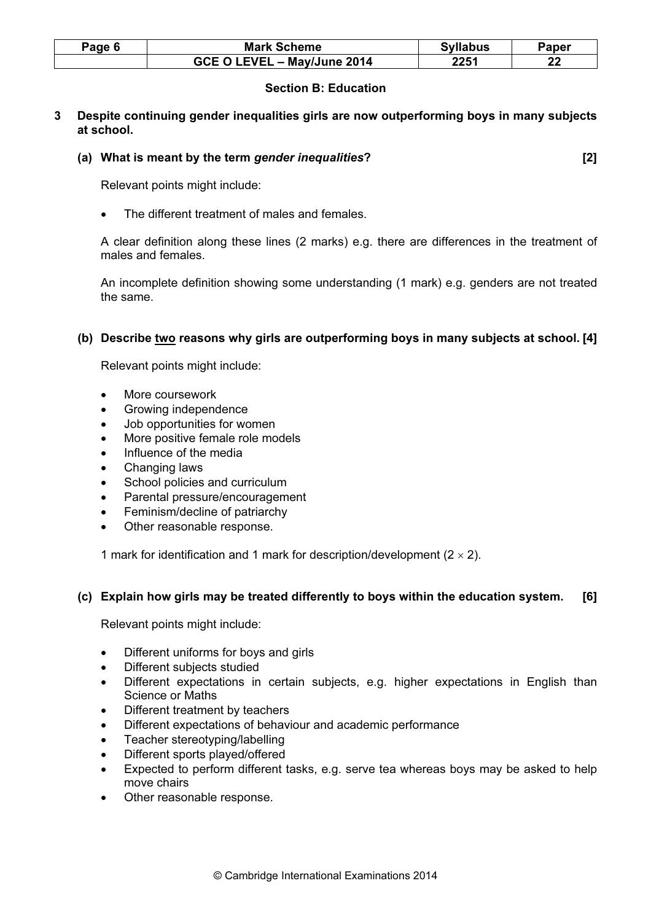| Page 6 | <b>Mark Scheme</b>          | <b>Syllabus</b> | Paper |
|--------|-----------------------------|-----------------|-------|
|        | GCE O LEVEL - May/June 2014 | 2251            | n n   |

# Section B: Education

3 Despite continuing gender inequalities girls are now outperforming boys in many subjects at school.

#### (a) What is meant by the term gender inequalities? [2]

Relevant points might include:

The different treatment of males and females.

A clear definition along these lines (2 marks) e.g. there are differences in the treatment of males and females.

An incomplete definition showing some understanding (1 mark) e.g. genders are not treated the same.

#### (b) Describe two reasons why girls are outperforming boys in many subjects at school. [4]

Relevant points might include:

- More coursework
- Growing independence
- Job opportunities for women
- More positive female role models
- Influence of the media
- Changing laws
- School policies and curriculum
- Parental pressure/encouragement
- Feminism/decline of patriarchy
- Other reasonable response.

1 mark for identification and 1 mark for description/development  $(2 \times 2)$ .

#### (c) Explain how girls may be treated differently to boys within the education system. [6]

- Different uniforms for boys and girls
- Different subjects studied
- Different expectations in certain subjects, e.g. higher expectations in English than Science or Maths
- Different treatment by teachers
- Different expectations of behaviour and academic performance
- Teacher stereotyping/labelling
- Different sports played/offered
- Expected to perform different tasks, e.g. serve tea whereas boys may be asked to help move chairs
- Other reasonable response.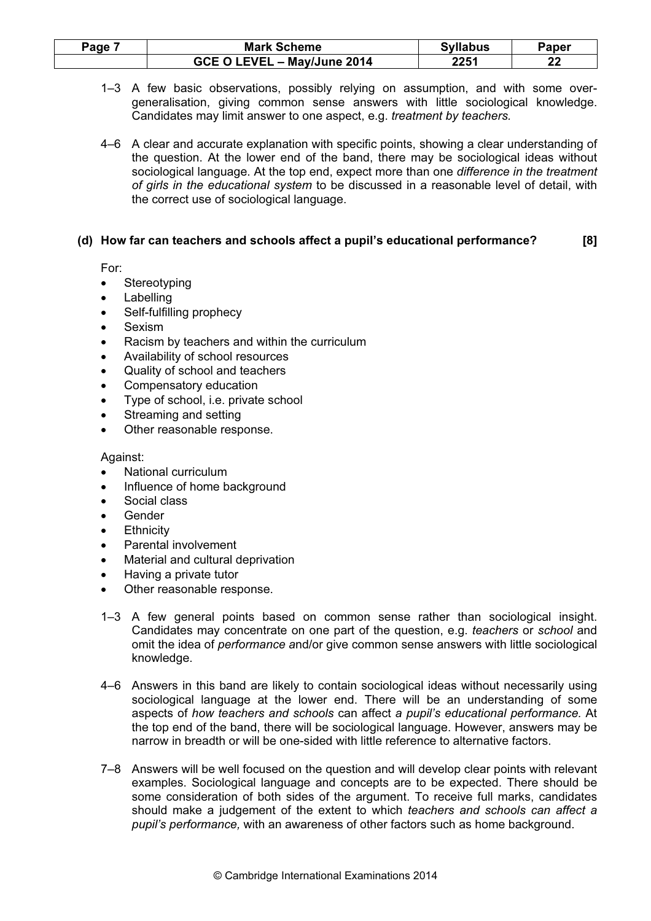| Page i | <b>Mark Scheme</b>          | <b>Syllabus</b> | Paper |
|--------|-----------------------------|-----------------|-------|
|        | GCE O LEVEL - May/June 2014 | 2251            | n,    |

1–3 A few basic observations, possibly relying on assumption, and with some overgeneralisation, giving common sense answers with little sociological knowledge. Candidates may limit answer to one aspect, e.g. treatment by teachers.

4–6 A clear and accurate explanation with specific points, showing a clear understanding of the question. At the lower end of the band, there may be sociological ideas without sociological language. At the top end, expect more than one difference in the treatment of girls in the educational system to be discussed in a reasonable level of detail, with the correct use of sociological language.

# (d) How far can teachers and schools affect a pupil's educational performance? [8]

For:

- Stereotyping
- **Labelling**
- Self-fulfilling prophecy
- Sexism
- Racism by teachers and within the curriculum
- Availability of school resources
- Quality of school and teachers
- Compensatory education
- Type of school, i.e. private school
- Streaming and setting
- Other reasonable response.

- National curriculum
- Influence of home background
- Social class
- Gender
- **Ethnicity**
- Parental involvement
- Material and cultural deprivation
- Having a private tutor
- Other reasonable response.
- 1–3 A few general points based on common sense rather than sociological insight. Candidates may concentrate on one part of the question, e.g. teachers or school and omit the idea of performance and/or give common sense answers with little sociological knowledge.
- 4–6 Answers in this band are likely to contain sociological ideas without necessarily using sociological language at the lower end. There will be an understanding of some aspects of how teachers and schools can affect a pupil's educational performance. At the top end of the band, there will be sociological language. However, answers may be narrow in breadth or will be one-sided with little reference to alternative factors.
- 7–8 Answers will be well focused on the question and will develop clear points with relevant examples. Sociological language and concepts are to be expected. There should be some consideration of both sides of the argument. To receive full marks, candidates should make a judgement of the extent to which teachers and schools can affect a pupil's performance, with an awareness of other factors such as home background.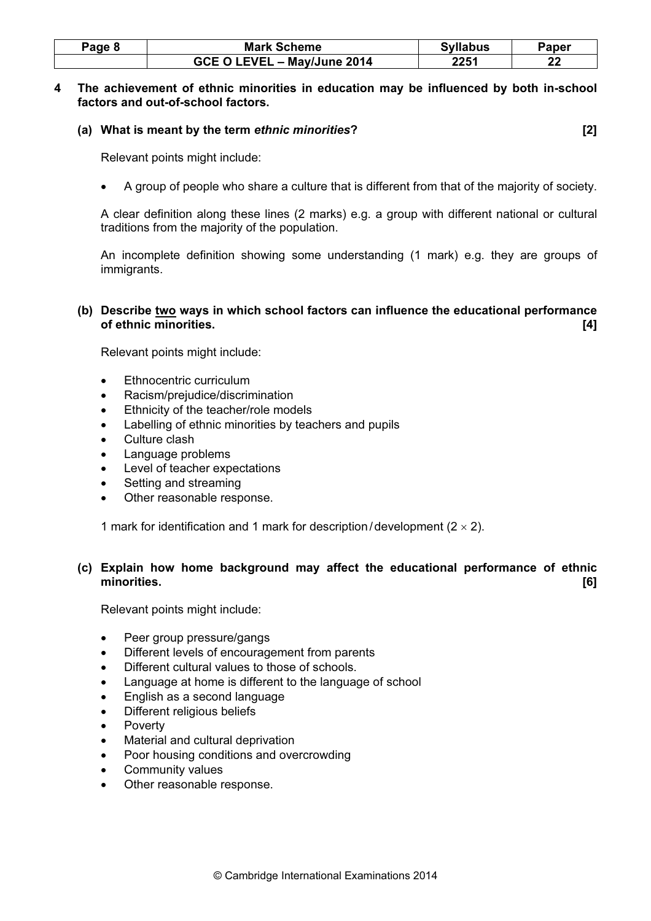| Page 8 | <b>Mark Scheme</b>          | <b>Syllabus</b> | Paper |
|--------|-----------------------------|-----------------|-------|
|        | GCE O LEVEL - May/June 2014 | 2251            | n n   |

#### 4 The achievement of ethnic minorities in education may be influenced by both in-school factors and out-of-school factors.

# (a) What is meant by the term ethnic minorities? [2]

Relevant points might include:

• A group of people who share a culture that is different from that of the majority of society.

A clear definition along these lines (2 marks) e.g. a group with different national or cultural traditions from the majority of the population.

An incomplete definition showing some understanding (1 mark) e.g. they are groups of immigrants.

# (b) Describe two ways in which school factors can influence the educational performance of ethnic minorities. [4]

Relevant points might include:

- Ethnocentric curriculum
- Racism/prejudice/discrimination
- Ethnicity of the teacher/role models
- Labelling of ethnic minorities by teachers and pupils
- Culture clash
- Language problems
- Level of teacher expectations
- Setting and streaming
- Other reasonable response.

1 mark for identification and 1 mark for description/development  $(2 \times 2)$ .

# (c) Explain how home background may affect the educational performance of ethnic minorities. [6]

- Peer group pressure/gangs
- Different levels of encouragement from parents
- Different cultural values to those of schools.
- Language at home is different to the language of school
- English as a second language
- Different religious beliefs
- **Poverty**
- Material and cultural deprivation
- Poor housing conditions and overcrowding
- Community values
- Other reasonable response.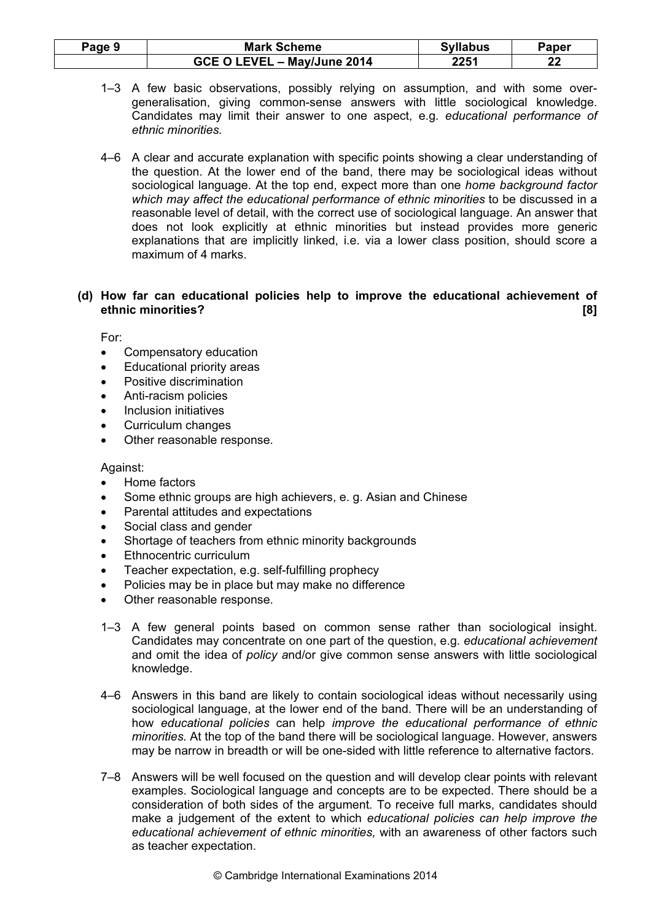| Page 9 | <b>Mark Scheme</b>          | <b>Syllabus</b> | Paper |
|--------|-----------------------------|-----------------|-------|
|        | GCE O LEVEL - May/June 2014 | 2251            | n.    |

- 1–3 A few basic observations, possibly relying on assumption, and with some overgeneralisation, giving common-sense answers with little sociological knowledge. Candidates may limit their answer to one aspect, e.g. educational performance of ethnic minorities.
- 4–6 A clear and accurate explanation with specific points showing a clear understanding of the question. At the lower end of the band, there may be sociological ideas without sociological language. At the top end, expect more than one home background factor which may affect the educational performance of ethnic minorities to be discussed in a reasonable level of detail, with the correct use of sociological language. An answer that does not look explicitly at ethnic minorities but instead provides more generic explanations that are implicitly linked, i.e. via a lower class position, should score a maximum of 4 marks.

# (d) How far can educational policies help to improve the educational achievement of ethnic minorities? [8]

For:

- Compensatory education
- Educational priority areas
- Positive discrimination
- Anti-racism policies
- Inclusion initiatives
- Curriculum changes
- Other reasonable response.

- Home factors
- Some ethnic groups are high achievers, e. g. Asian and Chinese
- Parental attitudes and expectations
- Social class and gender
- Shortage of teachers from ethnic minority backgrounds
- Ethnocentric curriculum
- Teacher expectation, e.g. self-fulfilling prophecy
- Policies may be in place but may make no difference
- Other reasonable response.
- 1–3 A few general points based on common sense rather than sociological insight. Candidates may concentrate on one part of the question, e.g. educational achievement and omit the idea of policy and/or give common sense answers with little sociological knowledge.
- 4–6 Answers in this band are likely to contain sociological ideas without necessarily using sociological language, at the lower end of the band. There will be an understanding of how educational policies can help improve the educational performance of ethnic minorities. At the top of the band there will be sociological language. However, answers may be narrow in breadth or will be one-sided with little reference to alternative factors.
- 7–8 Answers will be well focused on the question and will develop clear points with relevant examples. Sociological language and concepts are to be expected. There should be a consideration of both sides of the argument. To receive full marks, candidates should make a judgement of the extent to which educational policies can help improve the educational achievement of ethnic minorities, with an awareness of other factors such as teacher expectation.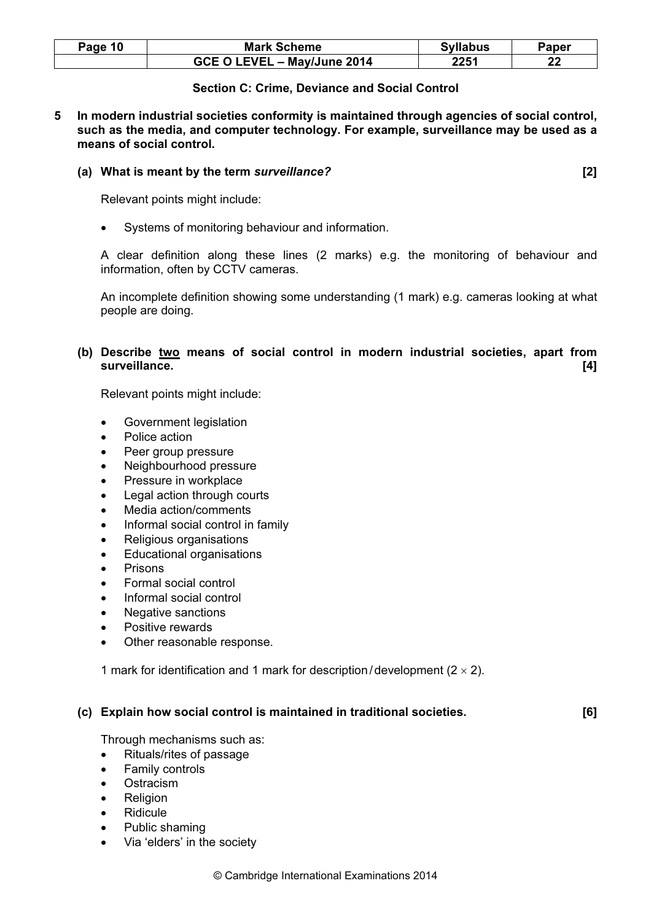| Page 10 | <b>Mark Scheme</b>          | <b>Syllabus</b> | Paper |
|---------|-----------------------------|-----------------|-------|
|         | GCE O LEVEL - May/June 2014 | 2251            | n n   |

## Section C: Crime, Deviance and Social Control

5 In modern industrial societies conformity is maintained through agencies of social control, such as the media, and computer technology. For example, surveillance may be used as a means of social control.

#### (a) What is meant by the term surveillance? [2]

Relevant points might include:

Systems of monitoring behaviour and information.

A clear definition along these lines (2 marks) e.g. the monitoring of behaviour and information, often by CCTV cameras.

An incomplete definition showing some understanding (1 mark) e.g. cameras looking at what people are doing.

# (b) Describe two means of social control in modern industrial societies, apart from surveillance. [4] **Surveillance** and the surveillance of the surveillance of the surveillance of the surveillance of the surveillance of the surveillance of the surveillance of the surveillance of the surveillance of the s

Relevant points might include:

- Government legislation
- Police action
- Peer group pressure
- Neighbourhood pressure
- Pressure in workplace
- Legal action through courts
- Media action/comments
- Informal social control in family
- Religious organisations
- Educational organisations
- **Prisons**
- Formal social control
- Informal social control
- Negative sanctions
- Positive rewards
- Other reasonable response.

1 mark for identification and 1 mark for description/development  $(2 \times 2)$ .

#### (c) Explain how social control is maintained in traditional societies. [6]

Through mechanisms such as:

- Rituals/rites of passage
- Family controls
- **Ostracism**
- **Religion**
- Ridicule
- Public shaming
- Via 'elders' in the society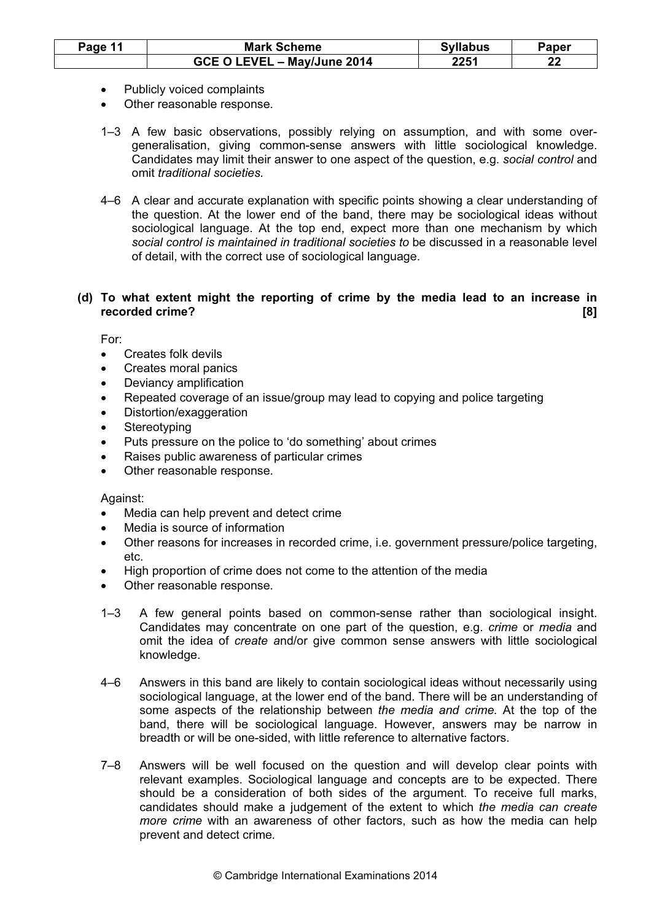| Page 11 | <b>Mark Scheme</b>          | <b>Syllabus</b> | Paper |
|---------|-----------------------------|-----------------|-------|
|         | GCE O LEVEL - May/June 2014 | 2251            | n.    |

- Publicly voiced complaints
- Other reasonable response.
- 1–3 A few basic observations, possibly relying on assumption, and with some overgeneralisation, giving common-sense answers with little sociological knowledge. Candidates may limit their answer to one aspect of the question, e.g. social control and omit traditional societies.
- 4–6 A clear and accurate explanation with specific points showing a clear understanding of the question. At the lower end of the band, there may be sociological ideas without sociological language. At the top end, expect more than one mechanism by which social control is maintained in traditional societies to be discussed in a reasonable level of detail, with the correct use of sociological language.

# (d) To what extent might the reporting of crime by the media lead to an increase in recorded crime? [8]

For:

- Creates folk devils
- Creates moral panics
- Deviancy amplification
- Repeated coverage of an issue/group may lead to copying and police targeting
- Distortion/exaggeration
- **Stereotyping**
- Puts pressure on the police to 'do something' about crimes
- Raises public awareness of particular crimes
- Other reasonable response.

- Media can help prevent and detect crime
- Media is source of information
- Other reasons for increases in recorded crime, i.e. government pressure/police targeting, etc.
- High proportion of crime does not come to the attention of the media
- Other reasonable response.
- 1–3 A few general points based on common-sense rather than sociological insight. Candidates may concentrate on one part of the question, e.g. crime or media and omit the idea of create and/or give common sense answers with little sociological knowledge.
- 4–6 Answers in this band are likely to contain sociological ideas without necessarily using sociological language, at the lower end of the band. There will be an understanding of some aspects of the relationship between the media and crime. At the top of the band, there will be sociological language. However, answers may be narrow in breadth or will be one-sided, with little reference to alternative factors.
- 7–8 Answers will be well focused on the question and will develop clear points with relevant examples. Sociological language and concepts are to be expected. There should be a consideration of both sides of the argument. To receive full marks, candidates should make a judgement of the extent to which the media can create more crime with an awareness of other factors, such as how the media can help prevent and detect crime.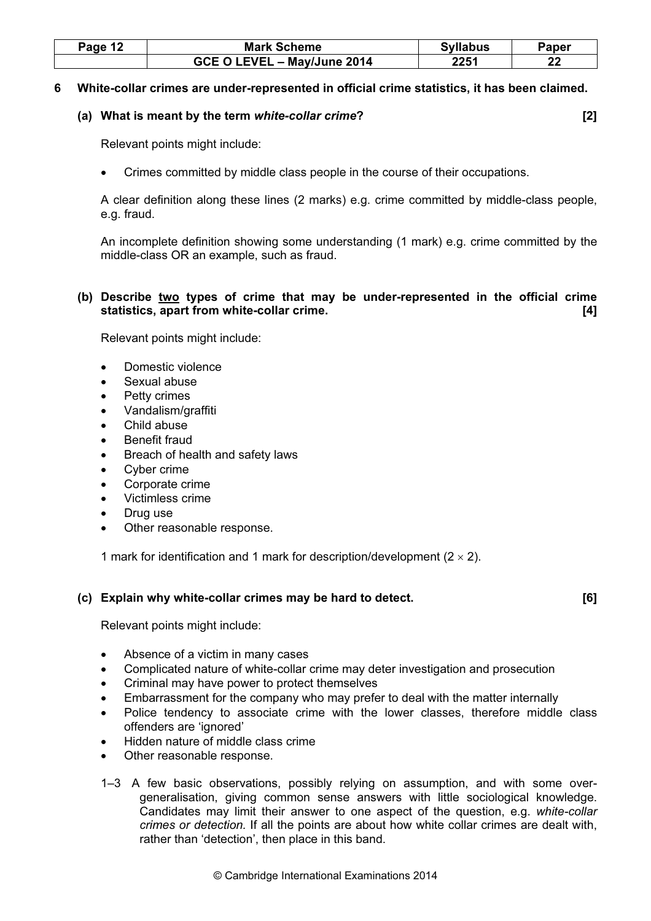| Page 12 | <b>Mark Scheme</b>          | <b>Syllabus</b> | Paper |
|---------|-----------------------------|-----------------|-------|
|         | GCE O LEVEL - May/June 2014 | 2251            | ne.   |

#### 6 White-collar crimes are under-represented in official crime statistics, it has been claimed.

#### (a) What is meant by the term white-collar crime? [2]

Relevant points might include:

• Crimes committed by middle class people in the course of their occupations.

A clear definition along these lines (2 marks) e.g. crime committed by middle-class people, e.g. fraud.

An incomplete definition showing some understanding (1 mark) e.g. crime committed by the middle-class OR an example, such as fraud.

# (b) Describe two types of crime that may be under-represented in the official crime statistics, apart from white-collar crime. **Example 20** and the statistics of  $[4]$

Relevant points might include:

- Domestic violence
- Sexual abuse
- Petty crimes
- Vandalism/graffiti
- Child abuse
- Benefit fraud
- Breach of health and safety laws
- Cyber crime
- Corporate crime
- Victimless crime
- Drug use
- Other reasonable response.

1 mark for identification and 1 mark for description/development  $(2 \times 2)$ .

#### (c) Explain why white-collar crimes may be hard to detect.  $[6]$

- Absence of a victim in many cases
- Complicated nature of white-collar crime may deter investigation and prosecution
- Criminal may have power to protect themselves
- Embarrassment for the company who may prefer to deal with the matter internally
- Police tendency to associate crime with the lower classes, therefore middle class offenders are 'ignored'
- Hidden nature of middle class crime
- Other reasonable response.
- 1–3 A few basic observations, possibly relying on assumption, and with some overgeneralisation, giving common sense answers with little sociological knowledge. Candidates may limit their answer to one aspect of the question, e.g. white-collar crimes or detection. If all the points are about how white collar crimes are dealt with, rather than 'detection', then place in this band.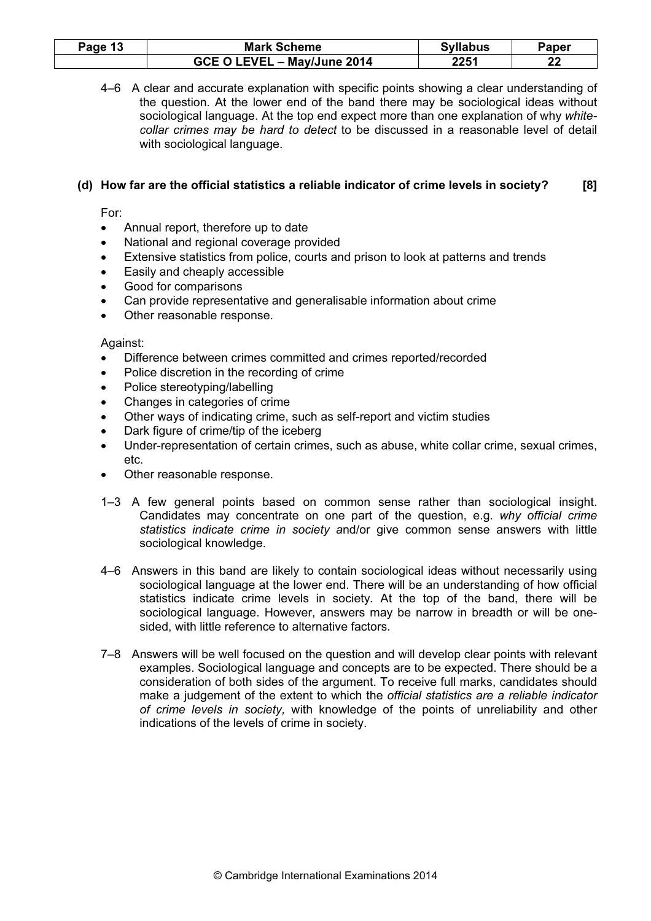| <sup>o</sup> age 13 | <b>Mark Scheme</b>          | <b>Syllabus</b> | $\mathop{}_{\mathbf Q}$ aper |
|---------------------|-----------------------------|-----------------|------------------------------|
|                     | GCE O LEVEL - May/June 2014 | 2251            | n,<br>LL                     |

4–6 A clear and accurate explanation with specific points showing a clear understanding of the question. At the lower end of the band there may be sociological ideas without sociological language. At the top end expect more than one explanation of why whitecollar crimes may be hard to detect to be discussed in a reasonable level of detail with sociological language.

# (d) How far are the official statistics a reliable indicator of crime levels in society? [8]

For:

- Annual report, therefore up to date
- National and regional coverage provided
- Extensive statistics from police, courts and prison to look at patterns and trends
- Easily and cheaply accessible
- Good for comparisons
- Can provide representative and generalisable information about crime
- Other reasonable response.

- Difference between crimes committed and crimes reported/recorded
- Police discretion in the recording of crime
- Police stereotyping/labelling
- Changes in categories of crime
- Other ways of indicating crime, such as self-report and victim studies
- Dark figure of crime/tip of the iceberg
- Under-representation of certain crimes, such as abuse, white collar crime, sexual crimes, etc.
- Other reasonable response.
- 1–3 A few general points based on common sense rather than sociological insight. Candidates may concentrate on one part of the question, e.g. why official crime statistics indicate crime in society and/or give common sense answers with little sociological knowledge.
- 4–6 Answers in this band are likely to contain sociological ideas without necessarily using sociological language at the lower end. There will be an understanding of how official statistics indicate crime levels in society. At the top of the band, there will be sociological language. However, answers may be narrow in breadth or will be onesided, with little reference to alternative factors.
- 7–8 Answers will be well focused on the question and will develop clear points with relevant examples. Sociological language and concepts are to be expected. There should be a consideration of both sides of the argument. To receive full marks, candidates should make a judgement of the extent to which the official statistics are a reliable indicator of crime levels in society, with knowledge of the points of unreliability and other indications of the levels of crime in society.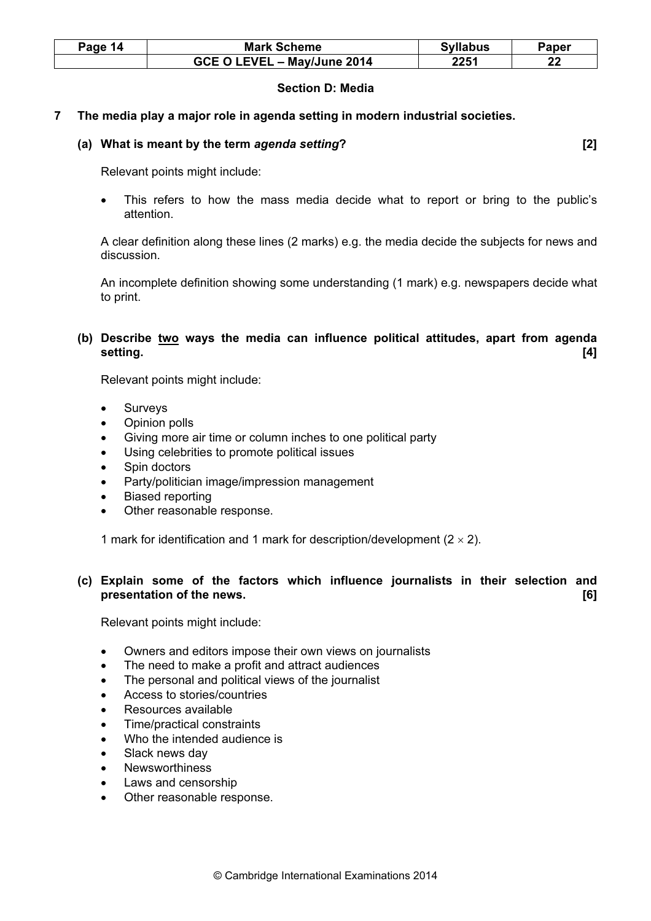| Page 14 | <b>Mark Scheme</b>          | <b>Syllabus</b> | Paper     |
|---------|-----------------------------|-----------------|-----------|
|         | GCE O LEVEL - May/June 2014 | 2251            | ົາາ<br>44 |

#### Section D: Media

# 7 The media play a major role in agenda setting in modern industrial societies.

#### (a) What is meant by the term agenda setting? [2]

Relevant points might include:

This refers to how the mass media decide what to report or bring to the public's attention.

A clear definition along these lines (2 marks) e.g. the media decide the subjects for news and discussion.

An incomplete definition showing some understanding (1 mark) e.g. newspapers decide what to print.

# (b) Describe two ways the media can influence political attitudes, apart from agenda setting. [4]

Relevant points might include:

- **Surveys**
- Opinion polls
- Giving more air time or column inches to one political party
- Using celebrities to promote political issues
- Spin doctors
- Party/politician image/impression management
- Biased reporting
- Other reasonable response.

1 mark for identification and 1 mark for description/development  $(2 \times 2)$ .

# (c) Explain some of the factors which influence journalists in their selection and presentation of the news. **Example 20** is the news of the news and the news of the news of the news of the news of the news of the news of the news of the news of the news of the news of the news of the news of the news of

- Owners and editors impose their own views on journalists
- The need to make a profit and attract audiences
- The personal and political views of the journalist
- Access to stories/countries
- Resources available
- Time/practical constraints
- Who the intended audience is
- Slack news day
- Newsworthiness
- Laws and censorship
- Other reasonable response.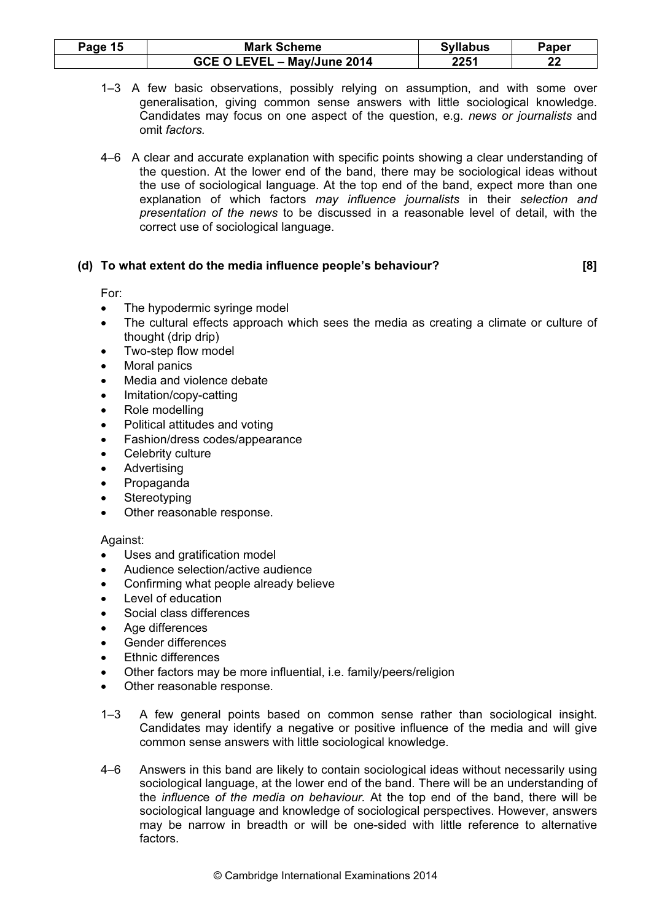| Page 15 | <b>Mark Scheme</b>          | <b>Syllabus</b> | Paper |
|---------|-----------------------------|-----------------|-------|
|         | GCE O LEVEL - May/June 2014 | 2251            | າງ    |

- 1–3 A few basic observations, possibly relying on assumption, and with some over generalisation, giving common sense answers with little sociological knowledge. Candidates may focus on one aspect of the question, e.g. news or journalists and omit factors.
- 4–6 A clear and accurate explanation with specific points showing a clear understanding of the question. At the lower end of the band, there may be sociological ideas without the use of sociological language. At the top end of the band, expect more than one explanation of which factors may influence journalists in their selection and presentation of the news to be discussed in a reasonable level of detail, with the correct use of sociological language.

#### (d) To what extent do the media influence people's behaviour? [8]

#### For:

- The hypodermic syringe model
- The cultural effects approach which sees the media as creating a climate or culture of thought (drip drip)
- Two-step flow model
- **Moral panics**
- Media and violence debate
- Imitation/copy-catting
- Role modelling
- Political attitudes and voting
- Fashion/dress codes/appearance
- Celebrity culture
- **Advertising**
- Propaganda
- **Stereotyping**
- Other reasonable response.

- Uses and gratification model
- Audience selection/active audience
- Confirming what people already believe
- Level of education
- Social class differences
- Age differences
- Gender differences
- Ethnic differences
- Other factors may be more influential, i.e. family/peers/religion
- Other reasonable response.
- 1–3 A few general points based on common sense rather than sociological insight. Candidates may identify a negative or positive influence of the media and will give common sense answers with little sociological knowledge.
- 4–6 Answers in this band are likely to contain sociological ideas without necessarily using sociological language, at the lower end of the band. There will be an understanding of the influence of the media on behaviour. At the top end of the band, there will be sociological language and knowledge of sociological perspectives. However, answers may be narrow in breadth or will be one-sided with little reference to alternative factors.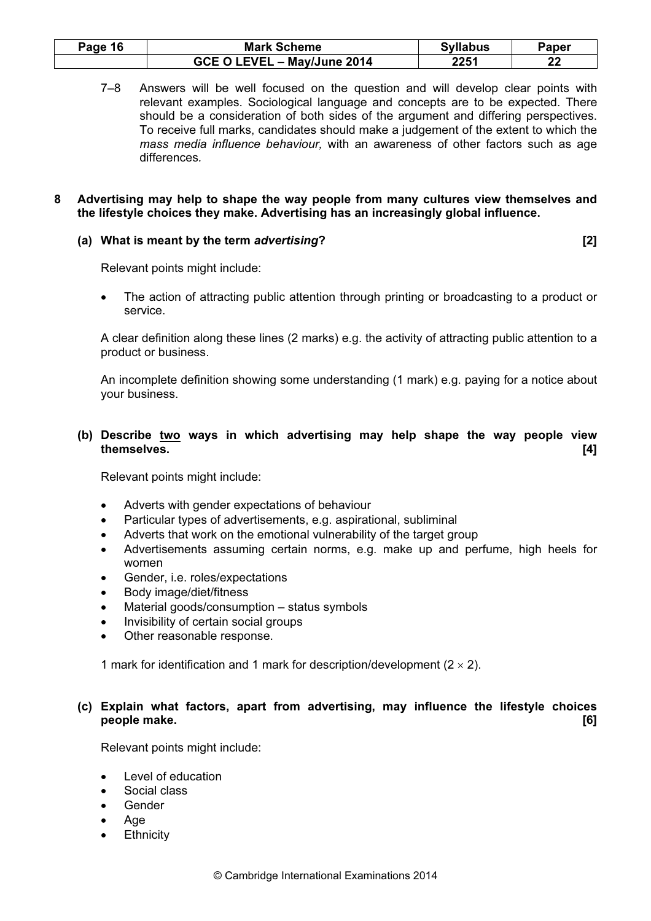| <sup>o</sup> age 16 | <b>Mark Scheme</b>          | <b>Syllabus</b> | Paper |
|---------------------|-----------------------------|-----------------|-------|
|                     | GCE O LEVEL - May/June 2014 | 2251            | າາ    |

7–8 Answers will be well focused on the question and will develop clear points with relevant examples. Sociological language and concepts are to be expected. There should be a consideration of both sides of the argument and differing perspectives. To receive full marks, candidates should make a judgement of the extent to which the mass media influence behaviour, with an awareness of other factors such as age differences.

#### 8 Advertising may help to shape the way people from many cultures view themselves and the lifestyle choices they make. Advertising has an increasingly global influence.

#### (a) What is meant by the term advertising? [2]

Relevant points might include:

• The action of attracting public attention through printing or broadcasting to a product or service.

A clear definition along these lines (2 marks) e.g. the activity of attracting public attention to a product or business.

An incomplete definition showing some understanding (1 mark) e.g. paying for a notice about your business.

(b) Describe two ways in which advertising may help shape the way people view themselves. [4]

Relevant points might include:

- Adverts with gender expectations of behaviour
- Particular types of advertisements, e.g. aspirational, subliminal
- Adverts that work on the emotional vulnerability of the target group
- Advertisements assuming certain norms, e.g. make up and perfume, high heels for women
- Gender, i.e. roles/expectations
- Body image/diet/fitness
- Material goods/consumption status symbols
- Invisibility of certain social groups
- Other reasonable response.

1 mark for identification and 1 mark for description/development  $(2 \times 2)$ .

# (c) Explain what factors, apart from advertising, may influence the lifestyle choices people make. [6]

- Level of education
- Social class
- Gender
- Age
- **Ethnicity**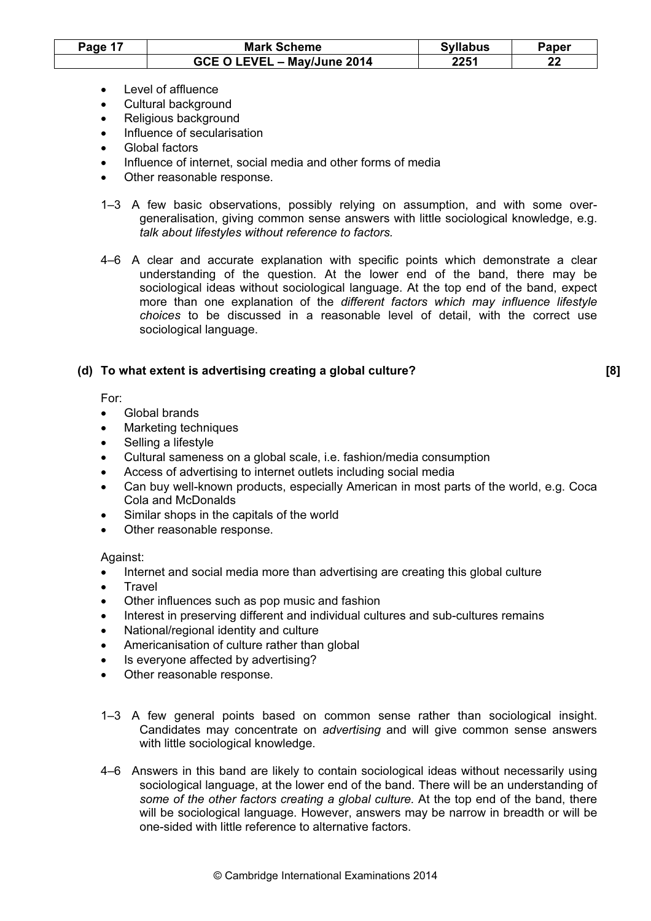| Page 17 | <b>Mark Scheme</b>          | <b>Syllabus</b> | Paper |
|---------|-----------------------------|-----------------|-------|
|         | GCE O LEVEL - May/June 2014 | 2251            | n n   |

- Level of affluence
- Cultural background
- Religious background
- Influence of secularisation
- Global factors
- Influence of internet, social media and other forms of media
- Other reasonable response.
- 1–3 A few basic observations, possibly relying on assumption, and with some overgeneralisation, giving common sense answers with little sociological knowledge, e.g. talk about lifestyles without reference to factors.
- 4–6 A clear and accurate explanation with specific points which demonstrate a clear understanding of the question. At the lower end of the band, there may be sociological ideas without sociological language. At the top end of the band, expect more than one explanation of the different factors which may influence lifestyle choices to be discussed in a reasonable level of detail, with the correct use sociological language.

# (d) To what extent is advertising creating a global culture? [8]

For:

- Global brands
- Marketing techniques
- Selling a lifestyle
- Cultural sameness on a global scale, i.e. fashion/media consumption
- Access of advertising to internet outlets including social media
- Can buy well-known products, especially American in most parts of the world, e.g. Coca Cola and McDonalds
- Similar shops in the capitals of the world
- Other reasonable response.

- Internet and social media more than advertising are creating this global culture
- **Travel**
- Other influences such as pop music and fashion
- Interest in preserving different and individual cultures and sub-cultures remains
- National/regional identity and culture
- Americanisation of culture rather than global
- Is everyone affected by advertising?
- Other reasonable response.
- 1–3 A few general points based on common sense rather than sociological insight. Candidates may concentrate on advertising and will give common sense answers with little sociological knowledge.
- 4–6 Answers in this band are likely to contain sociological ideas without necessarily using sociological language, at the lower end of the band. There will be an understanding of some of the other factors creating a global culture. At the top end of the band, there will be sociological language. However, answers may be narrow in breadth or will be one-sided with little reference to alternative factors.